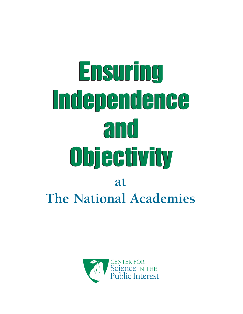# **Ensuring Ensuring Independence Independence and and Objectivity Objectivityat The National Academies**

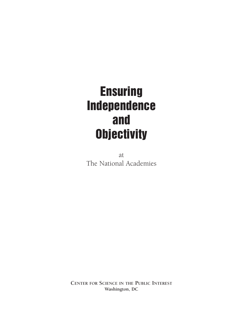# **Ensuring Independence and Objectivity**

at The National Academies

**CENTER FOR SCIENCE IN THE PUBLIC INTEREST Washington, DC**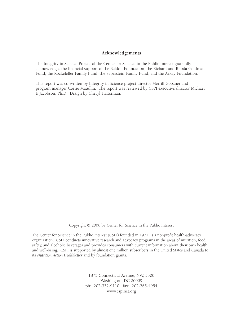#### **Acknowledgements**

The Integrity in Science Project of the Center for Science in the Public Interest gratefully acknowledges the financial support of the Beldon Foundation, the Richard and Rhoda Goldman Fund, the Rockefeller Family Fund, the Saperstein Family Fund, and the Arkay Foundation.

This report was co-written by Integrity in Science project director Merrill Goozner and program manager Corrie Maudlin. The report was reviewed by CSPI executive director Michael F. Jacobson, Ph.D. Design by Cheryl Halterman.

Copyright © 2006 by Center for Science in the Public Interest

The Center for Science in the Public Interest (CSPI) founded in 1971, is a nonprofit health-advocacy organization. CSPI conducts innovative research and advocacy programs in the areas of nutrition, food safety, and alcoholic beverages and provides consumers with current information about their own health and well-being. CSPI is supported by almost one million subscribers in the United States and Canada to its *Nutrition Action Healthletter* and by foundation grants.

> 1875 Connecticut Avenue, NW, #300 Washington, DC 20009 ph: 202-332-9110 fax: 202-265-4954 www.cspinet.org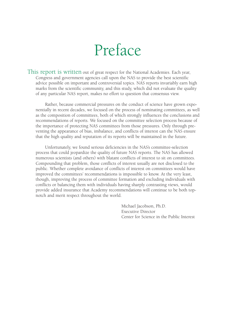# Preface

This report is written out of great respect for the National Academies. Each year, Congress and government agencies call upon the NAS to provide the best scientific advice possible on important and controversial topics. NAS reports invariably earn high marks from the scientific community, and this study, which did not evaluate the quality of any particular NAS report, makes no effort to question that consensus view.

Rather, because commercial pressures on the conduct of science have grown exponentially in recent decades, we focused on the process of nominating committees, as well as the composition of committees, both of which strongly influences the conclusions and recommendations of reports. We focused on the committee selection process because of the importance of protecting NAS committees from those pressures. Only through preventing the appearance of bias, imbalance, and conflicts of interest can the NAS ensure that the high quality and reputation of its reports will be maintained in the future.

Unfortunately, we found serious deficiencies in the NAS's committee-selection process that could jeopardize the quality of future NAS reports. The NAS has allowed numerous scientists (and others) with blatant conflicts of interest to sit on committees. Compounding that problem, those conflicts of interest usually are not disclosed to the public. Whether complete avoidance of conflicts of interest on committees would have improved the committees' recommendations is impossible to know. At the very least, though, improving the process of committee formation and excluding individuals with conflicts or balancing them with individuals having sharply contrasting views, would provide added insurance that Academy recommendations will continue to be both topnotch and merit respect throughout the world.

> Michael Jacobson, Ph.D. Executive Director Center for Science in the Public Interest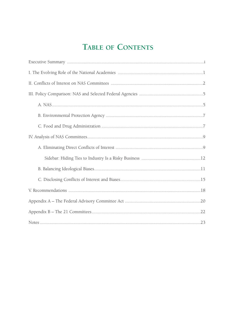# TABLE OF CONTENTS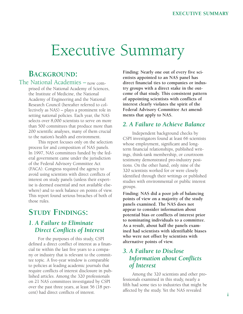# Executive Summary

## **BACKGROUND:**

The National Academies – now comprised of the National Academy of Sciences, the Institute of Medicine, the National Academy of Engineering and the National Research Council (hereafter referred to collectively as NAS) – plays a prominent role in setting national policies. Each year, the NAS selects over 8,000 scientists to serve on more than 500 committees that produce more than 200 scientific analyses, many of them crucial to the nation's health and environment.

This report focuses only on the selection process for and composition of NAS panels. In 1997, NAS committees funded by the federal government came under the jurisdiction of the Federal Advisory Committee Act (FACA). Congress required the agency to avoid using scientists with direct conflicts of interest on study panels (unless their expertise is deemed essential and not available elsewhere) and to seek balance on points of view. This report found serious breaches of both of those rules.

# **STUDY FINDINGS:**

### *1. A Failure to Eliminate Direct Conflicts of Interest*

For the purposes of this study, CSPI defined a direct conflict of interest as a financial tie within the last five years to a company or industry that is relevant to the committee topic. A five-year window is comparable to policies at leading academic journals that require conflicts of interest disclosure in published articles. Among the 320 professionals on 21 NAS committees investigated by CSPI over the past three years, at least 56 (18 percent) had direct conflicts of interest.

**Finding: Nearly one out of every five scientists appointed to an NAS panel has direct financial ties to companies or industry groups with a direct stake in the outcome of that study. This consistent pattern of appointing scientists with conflicts of interest clearly violates the spirit of the Federal Advisory Committee Act amendments that apply to NAS.** 

### *2. A Failure to Achieve Balance*

Independent background checks by CSPI investigators found at least 66 scientists whose employment, significant and longterm financial relationships, published writings, think-tank membership, or courtroom testimony demonstrated pro-industry positions. On the other hand, only nine of the 320 scientists worked for or were closely identified through their writings or published studies with environmental or public interest groups.

**Finding: NAS did a poor job of balancing points of view on a majority of the study panels examined. The NAS does not appear to consider information about potential bias or conflicts of interest prior to nominating individuals to a committee. As a result, about half the panels examined had scientists with identifiable biases who were not offset by scientists with alternative points of view.** 

### *3. A Failure to Disclose Information about Conflicts of Interest*

Among the 320 scientists and other professionals examined in this study, nearly a fifth had some ties to industries that might be affected by the study. Yet the NAS revealed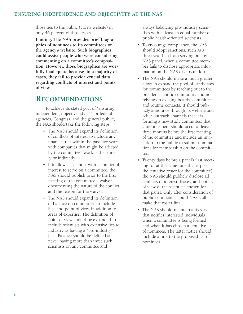those ties to the public (via its website) in only 46 percent of those cases.

**Finding: The NAS provides brief biographies of nominees to its committees on the agency's website. Such biographies could assist people who were considering commenting on a committee's composition. However, those biographies are woefully inadequate because, in a majority of cases, they fail to provide crucial data regarding conflicts of interest and points of view.**

### **RECOMMENDATIONS**

To achieve its stated goal of "ensuring independent, objective advice" for federal agencies, Congress, and the general public, the NAS should take the following steps:

- The NAS should expand its definition of conflicts of interest to include any financial ties within the past five years with companies that might be affected by the committee's work, either directly or indirectly.
- If it allows a scientist with a conflict of interest to serve on a committee, the NAS should publish prior to the first meeting of the committee a waiver documenting the nature of the conflict and the reason for the waiver.
- The NAS should expand its definition of balance on committees to include bias and point of view, in addition to areas of expertise. The definition of point of view should be expanded to include scientists with extensive ties to industry as having a "pro-industry" bias. Balance should be defined as never having more than three such scientists on any committee and

always balancing pro-industry scientists with at least an equal number of public health-oriented scientists.

- To encourage compliance, the NAS should adopt sanctions, such as a three-year ban from serving on any NAS panel, when a committee member fails to disclose appropriate information on the NAS disclosure forms.
- The NAS should make a much greater effort to expand the pool of candidates for committees by reaching out to the broader scientific community and not relying on existing boards, committees and routine contacts. It should publicly announce through its website and other outreach channels that it is forming a new study committee; that announcement should occur at least three months before the first meeting of the committee and include an invitation to the public to submit nominations for membership on the committee.
- Twenty days before a panel's first meeting (or at the same time that it posts the tentative roster for the committee), the NAS should publicly disclose all conflicts of interest, biases, and points of view of the scientists chosen for that panel. Only after consideration of public comments should NAS staff make that roster final.
- The NAS should maintain a listserv that notifies interested individuals when a committee is being formed and when it has chosen a tentative list of nominees. The latter notice should include a link to the proposed list of nominees.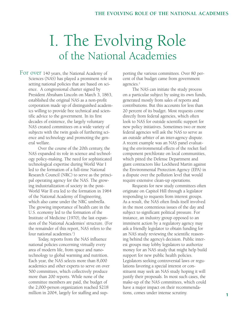# I. The Evolving Role of the National Academies

For over 140 years, the National Academy of Sciences (NAS) has played a prominent role in setting national policies that are based on science. A congressional charter signed by President Abraham Lincoln on March 3, 1863, established the original NAS as a non-profit corporation made up of distinguished academics willing to provide free technical and scientific advice to the government. In its first decades of existence, the largely voluntary NAS created committees on a wide variety of subjects with the twin goals of furthering science and technology and promoting the general welfare.

Over the course of the 20th century, the NAS expanded its role in science and technology policy-making. The need for sophisticated technological expertise during World War I led to the formation of a full-time National Research Council (NRC) to serve as the principal operating agency for the NAS. The growing industrialization of society in the post-World War II era led to the formation in 1964 of the National Academy of Engineering, which also came under the NRC umbrella. The growing importance of health care in the U.S. economy led to the formation of the Institute of Medicine (1970), the last expansion of the National Academies' structure. (For the remainder of this report, NAS refers to the four national academies.<sup>1</sup>)

Today, reports from the NAS influence national policies concerning virtually every area of modern life, from space and nanotechnology to global warming and nutrition. Each year, the NAS selects more than 8,000 academics and other experts to serve on over 500 committees, which collectively produce more than 200 reports. While none of the committee members are paid, the budget of the 2,000-person organization reached \$218 million in 2004, largely for staffing and supporting the various committees. Over 80 percent of that budget came from government agencies.<sup>2</sup>

The NAS can initiate the study process on a particular subject by using its own funds, generated mostly from sales of reports and contributions. But this accounts for less than 20 percent of its budget. Most requests come directly from federal agencies, which often look to NAS for outside scientific support for new policy initiatives. Sometimes two or more federal agencies will ask the NAS to serve as an outside arbiter of an inter-agency dispute. A recent example was an NAS panel evaluating the environmental effects of the rocket fuel component perchlorate on local communities, which pitted the Defense Department and giant contractors like Lockheed Martin against the Environmental Protection Agency (EPA) in a dispute over the pollution level that would require extensive clean-up operations.

Requests for new study committees often originate on Capitol Hill through a legislator responding to requests from interest groups. As a result, the NAS often finds itself involved in the most contentious issues of the day and subject to significant political pressure. For instance, an industry group opposed to an imminent action by a regulatory agency may ask a friendly legislator to obtain funding for an NAS study reviewing the scientific reasoning behind the agency's decision. Public interest groups may lobby legislators to authorize money for an NAS study that might help build support for new public health policies. Legislators seeking controversial laws or regulations favoring a special interest or constituent may seek an NAS study hoping it will justify their proposals. In most such cases, the make-up of the NAS committees, which could have a major impact on their recommendations, comes under intense scrutiny.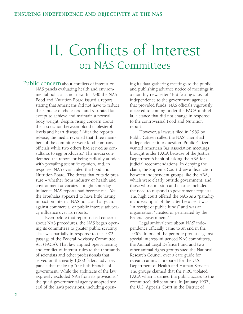# II. Conflicts of Interest on NAS Committees

Public concern about conflicts of interest on NAS panels evaluating health and environmental policies is not new. In 1980 the NAS Food and Nutrition Board issued a report stating that Americans did not have to reduce their intake of cholesterol and saturated fat except to achieve and maintain a normal body weight, despite rising concern about the association between blood cholesterol levels and heart disease.<sup>3</sup> After the report's release, the media revealed that three members of the committee were food company officials while two others had served as consultants to egg producers.<sup>4</sup> The media condemned the report for being radically at odds with prevailing scientific opinion, and, in response, NAS overhauled the Food and Nutrition Board. The threat that outside pressure – whether from industry or health and environment advocates – might someday influence NAS reports had become real. Yet the brouhaha appeared to have little lasting impact on internal NAS policies that guard against commercial or public interest advocacy influence over its reports.

> Even before that report raised concern about NAS procedures, the NAS began opening its committees to greater public scrutiny. That was partially in response to the 1972 passage of the Federal Advisory Committee Act (FACA). That law applied open-meeting and conflict-of-interest rules to the thousands of scientists and other professionals that served on the nearly 1,000 federal advisory panels that make up "the fifth branch" of government. While the architects of the law expressly excluded NAS from its provisions,<sup>5</sup> the quasi-governmental agency adopted several of the law's provisions, including open

ing its data-gathering meetings to the public and publishing advance notice of meetings in a monthly newsletter.<sup>6</sup> But fearing a loss of independence to the government agencies that provided funds, NAS officials vigorously objected to coming under the FACA umbrella, a stance that did not change in response to the controversial Food and Nutrition report.

However, a lawsuit filed in 1989 by Public Citizen called the NAS' cherished independence into question. Public Citizen wanted American Bar Association meetings brought under FACA because of the Justice Department's habit of asking the ABA for judicial recommendations. In denying the claim, the Supreme Court drew a distinction between independent groups like the ABA, which were clearly outside government, and those whose mission and charter included the need to respond to government requests. The high court offered the NAS as a "paradigmatic example" of the latter because it was "in receipt of public funds" and was an organization "created or permeated by the Federal government."7

Legal ambivalence about NAS' independence officially came to an end in the 1990s. In one of the periodic protests against special interest-influenced NAS committees, the Animal Legal Defense Fund and two other animal rights groups sued the National Research Council over a care guide for research animals prepared for the U.S. Department of Health and Human Services. The groups claimed that the NRC violated FACA when it denied the public access to the committee's deliberations. In January 1997, the U.S. Appeals Court in the District of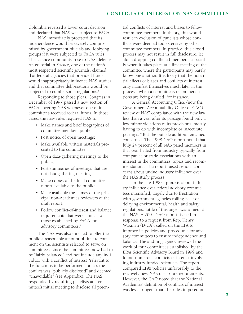Columbia reversed a lower court decision and declared that NAS was subject to FACA.

NAS immediately protested that its independence would be severely compromised by government officials and lobbying groups if it were subjected to FACA rules. The science community rose to NAS' defense. An editorial in *Science*, one of the nation's most respected scientific journals, claimed that federal agencies that provided funds would inappropriately influence NAS studies and that committee deliberations would be subjected to cumbersome regulations.<sup>8</sup>

Responding to those pleas, Congress in December of 1997 passed a new section of FACA covering NAS whenever one of its committees received federal funds. In those cases, the new rules required NAS to:

- Make names and brief biographies of committee members public;
- Post notice of open meetings;
- Make available written materials presented to the committee;
- Open data-gathering meetings to the public;
- Post summaries of meetings that are not data-gathering meetings;
- Make copies of the final committee report available to the public;
- Make available the names of the principal non-Academies reviewers of the draft report;
- Follow conflict-of-interest and balance requirements that were similar to those established by FACA for advisory committees.<sup>9</sup>

The NAS was also directed to offer the public a reasonable amount of time to comment on the scientists selected to serve on committees, since the committees now had to be "fairly balanced" and not include any individual with a conflict of interest "relevant to the functions to be performed" unless the conflict was "publicly disclosed" and deemed "unavoidable" (see Appendix). The NAS responded by requiring panelists at a committee's initial meeting to disclose all potential conflicts of interest and biases to fellow committee members. In theory, this would result in exclusion of panelists whose conflicts were deemed too extensive by other committee members. In practice, this closed process may not result in full disclosure, let alone dropping conflicted members, especially when it takes place at a first meeting of the committee where the participants may barely know one another. It is likely that the potential effects of biases and conflicts of interest only manifest themselves much later in the process, when a committee's recommendations are being drafted, for instance.

A General Accounting Office (now the Government Accountability Office or GAO) review of NAS' compliance with the new law less than a year after its passage found only a few minor violations of its provisions, mostly having to do with incomplete or inaccurate postings.10 But the outside auditors remained concerned. The 1998 GAO report noted that fully 24 percent of all NAS panel members in that year hailed from industry, typically from companies or trade associations with an interest in the committees' topics and recommendations. The report raised serious concerns about undue industry influence over the NAS study process.

In the late 1990s, protests about industry influence over federal advisory committees intensified, largely due to frustration with government agencies rolling back or delaying environmental, health and safety regulations. Little of this anger was aimed at the NAS. A 2001 GAO report, issued in response to a request from Rep. Henry Waxman (D-CA), called on the EPA to improve its policies and procedures for advisory committees to ensure independence and balance. The auditing agency reviewed the work of four committees established by the EPA's Scientific Advisory Board in 1999 and found numerous conflicts of interest involving industry-funded scientists. The report compared EPA's policies unfavorably to the relatively new NAS disclosure requirements. However, the GAO noted that the National Academies' definition of conflicts of interest was less stringent than the rules imposed on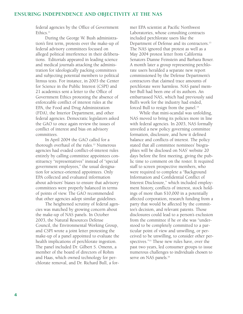federal agencies by the Office of Government Ethics<sup>11</sup>

During the George W. Bush administration's first term, protests over the make-up of federal advisory committees focused on alleged political interference in their deliberations. Editorials appeared in leading science and medical journals attacking the administration for ideologically packing committees and subjecting potential members to political litmus tests. For instance, in 2003 the Center for Science in the Public Interest (CSPI) and 21 academics sent a letter to the Office of Government Ethics protesting the absence of enforceable conflict of interest rules at the EPA, the Food and Drug Administration (FDA), the Interior Department, and other federal agencies. Democratic legislators asked the GAO to once again review the issues of conflict of interest and bias on advisory committees.

In April 2004 the GAO called for a thorough overhaul of the rules.<sup>12</sup> Numerous agencies had evaded conflict-of-interest rules entirely by calling committee appointees constituency "representatives" instead of "special government employees," the usual designation for science-oriented appointees. Only EPA collected and evaluated information about advisors' biases to ensure that advisory committees were properly balanced in terms of points of view. The GAO recommended that other agencies adopt similar guidelines.

The heightened scrutiny of federal agencies was matched by growing concern about the make-up of NAS panels. In October 2003, the Natural Resources Defense Council, the Environmental Working Group, and CSPI wrote a joint letter protesting the make-up of a panel appointed to evaluate the health implications of perchlorate ingestion. The panel included Dr. Gilbert S. Omenn, a member of the board of directors of Rohm and Haas, which owned technology for perchlorate removal, and Dr. Richard Bull, a for-

mer EPA scientist at Pacific Northwest Laboratories, whose consulting contracts included perchlorate users like the Department of Defense and its contractors.<sup>13</sup> The NAS ignored that protest as well as a May 2004 protest letter from California Senators Dianne Feinstein and Barbara Boxer. A month later a group representing perchlorate users heralded a separate new report commissioned by the Defense Department's contractors that claimed trace amounts of perchlorate were harmless. NAS panel member Bull had been one of its authors. An embarrassed NAS, which had previously said Bull's work for the industry had ended, forced Bull to resign from the panel.<sup>14</sup>

While that mini-scandal was unfolding, NAS moved to bring its policies more in line with federal agencies. In 2003, NAS formally unveiled a new policy governing committee formation, disclosure, and how it defined balance and conflicts of interest. The policy stated that all committee nominees' biographies will be disclosed on NAS' website 20 days before the first meeting, giving the public time to comment on the roster. It required staff to screen prospective members, who were required to complete a "Background Information and Confidential Conflict of Interest Disclosure," which included employment history, conflicts of interest, stock holdings of more than \$10,000 in a potentially affected corporation, research funding from a party that would be affected by the committee's decision, and relevant patents. Those disclosures could lead to a person's exclusion from the committee if he or she was "understood to be completely committed to a particular point of view and unwilling, or perceived to be unwilling, to consider other perspectives."15 These new rules have, over the past two years, led consumer groups to issue numerous challenges to individuals chosen to serve on NAS panels.<sup>16</sup>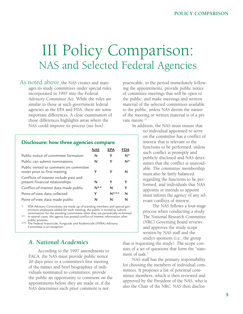# III Policy Comparison: NAS and Selected Federal Agencies

As noted above, the NAS creates and manages its study committees under special rules incorporated in 1997 into the Federal Advisory Committee Act. While the rules are similar to those at such government federal agencies as the EPA and FDA, there are some important differences. A close examination of those differences highlights areas where the NAS could improve its process (see box).

#### **Disclosure: how three agencies compare**

|                                                                           | NAS    | EPA    |       |
|---------------------------------------------------------------------------|--------|--------|-------|
| Public notice of committee formation                                      | N      | Y      | N*    |
| Public can submit nominations                                             | N      | Y      | $N^*$ |
| Public invited to comment on committee<br>roster prior to first meeting   | Y      |        | N     |
| Conflicts of interest include past and<br>present financial relationships | N      | Y      | Y     |
| Conflict-of-interest data made public                                     | $N$ ** | N      | Y     |
| Point-of-view data collected                                              | Y      | $N***$ | N     |
| Point-of-view data made public                                            | N      | N      | N     |

\* FDA Advisory Committees are made up of standing members and special government employees added for each meeting; the public is invited to submit nominations for the standing committees when they are periodically re-formed

\*\* In several cases, the agency has posted conflict of interest information after public protests.

\*\*\* The Federal Insecticide, Fungicide and Rodenticide (FIFRA) Advisory Committee is an exception.

### *A. National Academies*

According to the 1997 amendments to FACA, the NAS must provide public notice 20 days prior to a committee's first meeting of the names and brief biographies of individuals nominated to committees; provide the public an opportunity to comment on the appointments before they are made or, if the NAS determines such prior comment is not

practicable, in the period immediately following the appointments; provide public notice of committee meetings that will be open to the public; and make meetings and written material of the selected committees available to the public, unless NAS deems the nature of the meeting or written material is of a private nature.<sup>17</sup>

In addition, the NAS must ensure that

no individual appointed to serve on the committee has a conflict of interest that is relevant to the functions to be performed, unless such conflict is promptly and publicly disclosed and NAS determines that the conflict is unavoidable. The committee membership must also be fairly balanced regarding the functions to be performed, and individuals that NAS appoints or intends to appoint must inform the agency of any relevant conflicts of interest.

The NAS follows a four-stage process when conducting a study. The National Research Committee (NRC) Governing Board reviews and approves the study scope written by NAS staff and the study's sponsors (i.e., the group

that is requesting the study). The scope consists of a set of questions that form the "statement of task."

NAS staff has the primary responsibility for choosing the members of individual committees. It proposes a list of potential committee members, which is then reviewed and approved by the President of the NAS, who is also the Chair of the NRC. NAS then disclos-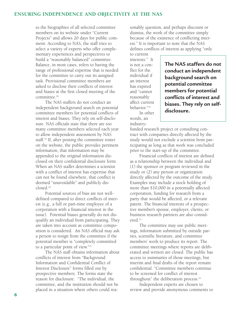es the biographies of all selected committee members on its website under "Current Projects" and allows 20 days for public comment. According to NAS, the staff tries to select a variety of experts who offer complementary experiences and perspectives to build a "reasonably balanced" committee. Balance, in most cases, refers to having the range of professional expertise that is needed for the committee to carry out its assigned task. Provisional committee members are asked to disclose their conflicts of interest and biases at the first closed meeting of the committee.18

The NAS staffers do not conduct an independent background search on potential committee members for potential conflicts of interest and biases. They rely on self-disclosure. NAS officials state that there are too many committee members selected each year to allow independent assessment by NAS staff.19 If, after posting the committee roster on the website, the public provides pertinent information, that information may be appended to the original information disclosed on their confidential disclosure form. When an NAS staffer determines a scientist with a conflict of interest has expertise that can not be found elsewhere, that conflict is deemed "unavoidable" and publicly disclosed.20

Potential sources of bias are not welldefined compared to direct conflicts of interest (e.g., a full or part-time employee of a corporation with a financial interest in the issue). Potential biases generally do not disqualify an individual from participating. They are taken into account as committee composition is considered. An NAS official may ask a person to resign from the committee if the potential member is "completely committed to a particular point of view."21

The NAS staff obtains information about conflicts of interest from "Background Information and Confidential Conflict of Interest Disclosure" forms filled out by prospective members. The forms state the reason for disclosure: "The individual, the committee, and the institution should not be placed in a situation where others could rea-

sonably question, and perhaps discount or dismiss, the work of the committee simply because of the existence of conflicting interest." It is important to note that the NAS defines conflicts of interest as applying "only

to current interests." It is not a conflict for the individual if an interest has expired and "cannot reasonably affect current behavior<sup>"22</sup> In other words, an

industry-

**The NAS staffers do not conduct an independent background search on potential committee members for potential conflicts of interest and biases. They rely on selfdisclosure.**

funded research project or consulting contract with companies directly affected by the study would not exclude a scientist from participating as long as that work was concluded prior to the start-up of the committee.

Financial conflicts of interest are defined as a relationship between the individual and (1) the sponsor or program reviewed in the study or (2) any person or organization directly affected by the outcome of the study. Examples may include a stock holding of more than \$10,000 in a potentially affected corporation, funding for research from a party that would be affected, or a relevant patent. The financial interests of a prospective member's spouse, employer, clients, or business research partners are also considered.23

The committee may use public meetings, information submitted by outside parties, scientific literature, and committee members' work to produce its report. The committee meetings where reports are deliberated and written are closed. The public has access to summaries of those meetings, but interim and final drafts of the report remain confidential. "Committee members continue to be screened for conflict of interest throughout" the deliberation process.<sup>24</sup>

Independent experts are chosen to review and provide anonymous comments to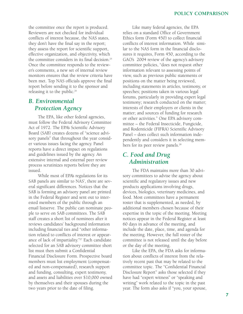the committee once the report is produced. Reviewers are not checked for individual conflicts of interest because, the NAS states, they don't have the final say in the report; they assess the report for scientific support, effective organization, and objectivity, which the committee considers in its final decision.25 Once the committee responds to the reviewer's comments, a new set of internal review monitors ensures that the review criteria have been met. Top NAS officials approve the final report before sending it to the sponsor and releasing it to the public.<sup>26</sup>

### *B. Environmental Protection Agency*

The EPA, like other federal agencies, must follow the Federal Advisory Committee Act of 1972. The EPA's Scientific Advisory Board (SAB) creates dozens of "science advisory panels" that throughout the year consider various issues facing the agency. Panel reports have a direct impact on regulations and guidelines issued by the agency. An extensive internal and external peer review process scrutinizes reports before they are issued.

While most of EPA's regulations for its SAB panels are similar to NAS', there are several significant differences. Notices that the SAB is forming an advisory panel are printed in the Federal Register and sent out to interested members of the public through an email listserve. The public can nominate people to serve on SAB committees. The SAB staff creates a short list of nominees after it reviews candidates' background information including financial ties and "other information related to conflicts of interest or appearance of lack of impartiality."27 Each candidate selected for an SAB advisory committee short list must then submit a Confidential Financial Disclosure Form. Prospective board members must list employment (compensated and non-compensated), research support and funding, consulting, expert testimony, and assets and liabilities over \$10,000 owned by themselves and their spouses during the two years prior to the date of filing.

Like many federal agencies, the EPA relies on a standard Office of Government Ethics form (Form 450) to collect financial conflicts of interest information. While similar to the NAS form in the financial disclosures it requires, Form 450, according to the GAO's 2004 review of the agency's advisory committee policies, "does not request other information relevant to assessing points of view, such as previous public statements or positions on the matter being reviewed, including statements in articles, testimony, or speeches; positions taken in various legal forums, particularly in providing expert legal testimony; research conducted on the matter; interests of their employers or clients in the matter; and sources of funding for research or other activities." One EPA advisory committee – the Federal Insecticide, Fungicide, and Rodenticide (FIFRA) Scientific Advisory Panel – does collect such information independently and considers it in selecting members for its peer review panels.<sup>28</sup>

### *C. Food and Drug Administration*

The FDA maintains more than 30 advisory committees to advise the agency about scientific and regulatory issues and new products applications involving drugs, devices, biologics, veterinary medicines, and food. Most committees have a permanent roster that is supplemented, as needed, by additional members chosen because of their expertise in the topic of the meeting. Meeting notices appear in the Federal Register at least 60 days in advance of the meeting, and include the date, place, time, and agenda for the meeting. However, the full roster of the committee is not released until the day before or the day of the meeting.

Like the EPA, the FDA asks for information about conflicts of interest from the relatively recent past that may be related to the committee topic. The "Confidential Financial Disclosure Report" asks those selected if they have had "expert witness" or "speaking and writing" work related to the topic in the past year. The form also asks if "you, your spouse,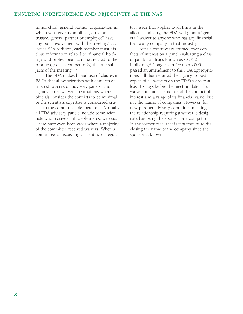minor child, general partner, organization in which you serve as an officer, director, trustee, general partner or employee" have any past involvement with the meeting/task issues.29 In addition, each member must disclose information related to "financial holdings and professional activities related to the product(s) or its competitor(s) that are subjects of the meeting."30

The FDA makes liberal use of clauses in FACA that allow scientists with conflicts of interest to serve on advisory panels. The agency issues waivers in situations where officials consider the conflicts to be minimal or the scientist's expertise is considered crucial to the committee's deliberations. Virtually all FDA advisory panels include some scientists who receive conflict-of-interest waivers. There have even been cases where a majority of the committee received waivers. When a committee is discussing a scientific or regulatory issue that applies to all firms in the affected industry, the FDA will grant a "general" waiver to anyone who has any financial ties to any company in that industry.

After a controversy erupted over conflicts of interest on a panel evaluating a class of painkiller drugs known as COX-2 inhibitors,<sup>31</sup> Congress in October 2005 passed an amendment to the FDA appropriations bill that required the agency to post copies of all waivers on the FDA's website at least 15 days before the meeting date. The waivers include the nature of the conflict of interest and a range of its financial value, but not the names of companies. However, for new product advisory committee meetings, the relationship requiring a waiver is designated as being the sponsor or a competitor. In the former case, that is tantamount to disclosing the name of the company since the sponsor is known.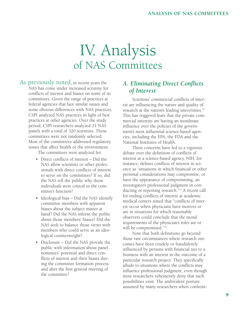# IV. Analysis of NAS Committees

As previously noted, in recent years the NAS has come under increased scrutiny for conflicts of interest and biases on some of its committees. Given the range of practices at federal agencies that face similar issues and some obvious differences with NAS practices, CSPI analyzed NAS practices in light of best practices at other agencies. Over the study period, CSPI researchers analyzed 21 NAS panels with a total of 320 scientists. Those committees were not randomly selected. Most of the committees addressed regulatory issues that affect health or the environment.

The committees were analyzed for:

- Direct conflicts of interest Did the NAS allow scientists or other professionals with direct conflicts of interest to serve on the committees? If so, did the NAS tell the public why those individuals were critical to the committee's function?
- Ideological bias Did the NAS identify committee members with apparent biases about the subject matter at hand? Did the NAS inform the public about those members' biases? Did the NAS seek to balance those views with members who could serve as an ideological counterweight?
- Disclosure Did the NAS provide the public with information about panel nominees' potential and direct conflicts of interest and their biases during the committee formation process and after the first general meeting of the committee?

### *A. Eliminating Direct Conflicts of Interest*

Scientists' commercial conflicts of interest are influencing the nature and quality of research at the nation's leading universities.<sup>32</sup> This has triggered fears that the private commercial interests are having an inordinate influence over the policies of the government's most influential science-based agencies, including the EPA, the FDA and the National Institutes of Health.

These concerns have led to a vigorous debate over the definition of conflicts of interest at a science-based agency. NIH, for instance, defines conflicts of interest in science as "situations in which financial or other personal considerations may compromise, or have the appearance of compromising, an investigator's professional judgment in conducting or reporting research."33 A recent call for ending conflicts of interest at academic medical centers stated that "conflicts of interest occur when physicians have motives or are in situations for which reasonable observers could conclude that the moral requirements of the physician's roles are or will be compromised."34

Note that both definitions go beyond those rare circumstances where research outcomes have been crudely or fraudulently influenced by persons with financial ties to a business with an interest in the outcome of a particular research project. They specifically allude to situations where the conflicts may influence professional judgment, even though most researchers vehemently deny that such possibilities exist. The ambivalent posture assumed by many researchers when confront-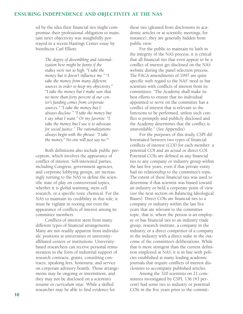ed by the idea their financial ties might compromise their professional obligation to maintain strict objectivity was insightfully portrayed in a recent Hastings Center essay by bioethicist Carl Elliott:

> *The degree of dissembling and rationalization here might be funny if the stakes were not so high. "I take the money but it doesn't influence me." "I take the money from many different sources in order to keep my objectivity." "I take the money but I make sure that no more than forty percent of our center's funding comes from corporate sources." "I take the money but I always disclose." "I take the money but I say what I want." Or my favorite: "I take the money but I use it to advocate for social justice." The rationalizations always begin with the phrase: "I take the money." No one will just say no.*<sup>35</sup>

Both definitions also include public perception, which involves the *appearance* of conflict of interest. Self-interested parties, including Congress, government agencies, and corporate lobbying groups, are increasingly turning to the NAS to define the scientific state of play on controversial topics, whether it is global warming, stem cell research, or a specific toxic chemical. For the NAS to maintain its credibility in this role, it must be vigilant in rooting out even the appearance of conflicts of interest among its committee members.

Conflicts of interest stem from many different types of financial arrangements. Many are not readily apparent from individuals' positions at universities or universityaffiliated centers or institutions. Universitybased researchers can receive personal remuneration in the form of industrial support of research contracts, grants, consulting contracts, speaking fees, honoraria, and service on corporate advisory boards. Those arrangements may be ongoing or intermittent, and they may not be disclosed on a scientist's resumé or *curriculum vitae*. While a skilled researcher may be able to find evidence for

these ties (gleaned from disclosures in academic articles or at scientific meetings, for instance), they are generally hidden from public view.

For the public to maintain its faith in the integrity of the NAS process, it is critical that all financial ties that even appear to be a conflict of interest get disclosed on the NAS website during the panel selection process. The FACA amendments of 1997 are quite specific with regard to the NAS' need to bar scientists with conflicts of interest from its committees: "The Academy shall make its best efforts to ensure that no individual appointed to serve on the committee has a conflict of interest that is relevant to the functions to be performed, unless such conflict is promptly and publicly disclosed and the Academy determines that the conflict is unavoidable." (See Appendix)

For the purposes of this study, CSPI differentiated between two types of financial conflicts of interest (COI) for each member: a potential COI and an actual or direct COI. Potential COIs are defined as any financial ties to any company or industry group within the last five years, even if that private entity had no relationship to the committee's topic. The extent of these financial ties was used to determine if that scientist was biased toward an industry or held a corporate point of view (see the next section on Balancing Ideological Biases). Direct COIs are financial ties to a company or industry within the last five years that are relevant to the committee topic, that is, where the person is an employee or has financial ties to an industry trade group, research institute, a company in the industry, or a direct competitor of a company in the industry with a direct stake in the outcome of the committee's deliberations. While that is more stringent than the current definition employed at NAS, it is in line with policies established at many leading academic journals that require conflicts of interest disclosures to accompany published articles.

Among the 320 scientists on 21 committees investigated by CSPI, 136 (43 percent) had some ties to industry or potential COIs in the five years prior to the commit-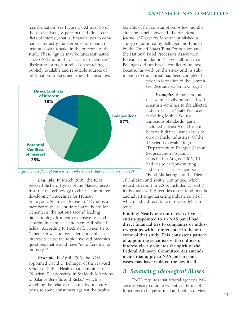#### **ANALYSIS OF NAS COMMITTEES**

tee's formation (see Figure 1). At least 56 of those scientists (18 percent) had direct conflicts of interest, that is, financial ties to companies, industry trade groups, or research institutes with a stake in the outcome of the study. These figures may be underestimated since CSPI did not have access to members' disclosure forms, but relied on searching publicly available and reputable sources of information to document these financial ties.



*Figure 1: Conflicts of interest of members of 21 study committees (n=320)*

*Example:* In March 2005, the IOM selected Richard Hynes of the Massachusetts Institute of Technology to chair a committee developing "Guidelines for Human Embryonic Stem Cell Research." Hynes is a member of the scientific resource board for Genentech, the nation's second leading biotechnology firm with extensive research capacity in stem cells and stem cell-related fields. According to NAS staff, Hynes' tie to Genentech was not considered a conflict of interest because the topic involved bioethics questions that would have "no differential on industry."36

*Example:* In April 2005, the IOM appointed David C. Bellinger of the Harvard School of Public Health to a committee on "Nutrient Relationships in Seafood: Selections to Balance Benefits and Risks," which is weighing the relative risks methyl mercury poses to some consumers against the health

benefits of fish consumption. A few months after the panel convened, the *American Journal of Preventive Medicine* published a study co-authored by Bellinger and funded by the United States Tuna Foundation and the National Food Processors Association Research Foundation.37 NAS staff said that Bellinger did not have a conflict of interest because his work on the study and its submission to the journal had been completed

> prior to formation of the committee. (See sidebar on next page.)

*Examples:* Some committees were heavily populated with scientists with ties to the affected industries. The "State Practices in Setting Mobile Source Emissions Standards" panel included at least 4 of 11 members with direct financial ties to oil or vehicle industries. Of the 11 scientists evaluating the "Department of Energy's Carbon Sequestration Program," launched in August 2005, 10 had ties to carbon-emitting industries. The 16-member "Food Marketing and the Diets

of Children and Youth" committee, which issued its report in 2006, included at least 7 individuals with direct ties to the food, media and advertising/marketing industries, all of which had a direct stake in the study's contents.

**Finding: Nearly one out of every five scientists appointed to an NAS panel had direct financial ties to companies or industry groups with a direct stake in the outcome of that study. This consistent pattern of appointing scientists with conflicts of interest clearly violates the spirit of the Federal Advisory Committee Act amendments that apply to NAS and in some cases may have violated the law itself.** 

### *B. Balancing Ideological Biases*

FACA requires that federal agencies balance advisory committees both in terms of functions to be performed and points of view.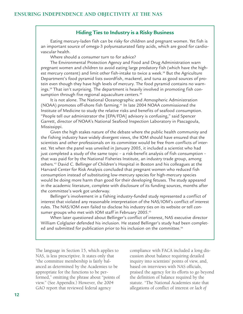#### **Hiding Ties to Industry is a Risky Business**

Eating mercury-laden fish can be risky for children and pregnant women. Yet fish is an important source of omega-3 polyunsaturated fatty acids, which are good for cardiovascular health.

Where should a consumer turn to for advice?

The Environmental Protection Agency and Food and Drug Administration warn pregnant women and children to avoid eating large predatory fish (which have the highest mercury content) and limit other fish-intake to twice a week.<sup>38</sup> But the Agriculture Department's food pyramid lists swordfish, mackerel, and tuna as good sources of protein even though they have high levels of mercury. The food pyramid contains no warnings.39 That isn't surprising. The department is heavily involved in promoting fish consumption through five regional aquaculture centers.<sup>40</sup>

It is not alone. The National Oceanographic and Atmospheric Administration (NOAA) promotes off-shore fish farming.41 In late 2004 NOAA commissioned the Institute of Medicine to study the relative risks and benefits of seafood consumption. "People tell our administrator the [EPA/FDA] advisory is confusing," said Spencer Garrett, director of NOAA's National Seafood Inspection Laboratory in Pascagoula, Mississippi.

Given the high stakes nature of the debate where the public health community and the fishing industry have widely divergent views, the IOM should have ensured that the scientists and other professionals on its committee would be free from conflicts of interest. Yet when the panel was unveiled in January 2005, it included a scientist who had just completed a study of the same topic – a risk-benefit analysis of fish consumption – that was paid for by the National Fisheries Institute, an industry trade group, among others.42 David C. Bellinger of Children's Hospital in Boston and his colleagues at the Harvard Center for Risk Analysis concluded that pregnant women who reduced fish consumption instead of substituting low-mercury species for high-mercury species would be doing more harm than good for their developing fetuses. The study appeared in the academic literature, complete with disclosure of its funding sources, months after the committee's work got underway.

Bellinger's involvement in a fishing industry-funded study represented a conflict of interest that violated any reasonable interpretation of the NAS/IOM's conflict of interest rules. The NAS/IOM even failed to disclose his industry ties on its website or tell consumer groups who met with IOM staff in February 2005.<sup>43</sup>

When later questioned about Bellinger's conflict of interest, NAS executive director William Colglazier defended his inclusion. He stated Bellinger's study had been completed and submitted for publication prior to his inclusion on the committee.<sup>44</sup>

The language in Section 15, which applies to NAS, is less prescriptive. It states only that "the committee membership is fairly balanced as determined by the Academies to be appropriate for the functions to be performed," omitting the phrase about "points of view." (See Appendix.) However, the 2004 GAO report that reviewed federal agency

compliance with FACA included a long discussion about balance requiring detailed inquiry into scientists' points of view, and, based on interviews with NAS officials, praised the agency for its efforts to go beyond the definition of balance required by the statute. "The National Academies state that allegations of conflict of interest or *lack of*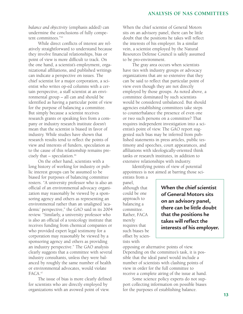*balance and objectivity* (emphasis added) can undermine the conclusions of fully competent committees<sup>"45</sup>

While direct conflicts of interest are relatively straightforward to understand because they involve financial relationships, bias or point of view is more difficult to track. On the one hand, a scientist's employment, organizational affiliations, and published writings can indicate a perspective on issues. The chief scientist for a major corporation, a scientist who writes op-ed columns with a certain perspective, a staff scientist at an environmental group – all can and should be identified as having a particular point of view for the purpose of balancing a committee. But simply because a scientist receives research grants or speaking fees from a company or industry research institute doesn't mean that the scientist is biased in favor of industry. While studies have shown that research results tend to reflect the points of view and interests of funders, speculation as to the cause of this relationship remains precisely that  $-$  speculation.<sup>46</sup>

On the other hand, scientists with a long history of working for industry or public interest groups can be assumed to be biased for purposes of balancing committee rosters. "A university professor who is also an official of an environmental advocacy organization may reasonably be viewed by a sponsoring agency and others as representing an environmental rather than an unaligned 'academic' perspective," the GAO said in its 2004 review. "Similarly, a university professor who is also an official of a toxicology institute that receives funding from chemical companies or who provided expert legal testimony for a corporation may reasonably be viewed by a sponsoring agency and others as providing an industry perspective." The GAO analysis clearly suggests that a committee with several industry consultants, unless they were balanced by roughly the same number of health or environmental advocates, would violate  $FACA$ <sup> $47$ </sup>

The issue of bias is more clearly defined for scientists who are directly employed by organizations with an avowed point of view.

When the chief scientist of General Motors sits on an advisory panel, there can be little doubt that the positions he takes will reflect the interests of his employer. In a similar vein, a scientist employed by the Natural Resources Defense Council is safely assumed to be pro-environment.

The gray area occurs when scientists have ties with industry groups or advocacy organizations that are so extensive that they can be said to reflect that particular point of view even though they are not directly employed by those groups. As noted above, a committee dominated by such scientists would be considered unbalanced. But should agencies establishing committees take steps to counterbalance the presence of even one or two such persons on a committee? That requires independent investigation into a scientist's point of view. The GAO report suggested such bias may be inferred from published statements in press articles, public testimony and speeches, court appearances, and affiliations with ideologically-oriented think tanks or research institutes, in addition to extensive relationships with industry.

Identifying points of view of potential appointees is not aimed at barring those sci-

entists from a panel, although that could be one approach to balancing a committee. Rather, FACA merely requires that such biases be offset by scientists with

**When the chief scientist of General Motors sits on an advisory panel, there can be little doubt that the positions he takes will reflect the interests of his employer.**

opposing or alternative points of view. Depending on the committee's task, it is possible that the ideal panel would include a number of scientists with clashing points of view in order for the full committee to receive a complete airing of the issue at hand.

Some science policy experts do not support collecting information on possible biases for the purposes of establishing balance.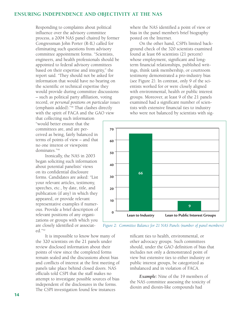Responding to complaints about political influence over the advisory committee process, a 2004 NAS panel chaired by former Congressman John Porter (R-IL) called for eliminating such questions from advisory committee appointment forms. "Scientists, engineers, and health professionals should be appointed to federal advisory committees based on their expertise and integrity," the report said. "They should not be asked for information that would have no bearing on the scientific or technical expertise they would provide during committee discussions – such as political party affiliation, voting record, or *personal positions on particular issues* (emphasis added)."48 That clashes directly with the spirit of FACA and the GAO view

that collecting such information "would better ensure that the committees are, and are perceived as being, fairly balanced in terms of points of view – and that no one interest or viewpoint dominates."49

Ironically, the NAS in 2003 began soliciting such information about potential panelists' views on its confidential disclosure forms. Candidates are asked: "List your relevant articles, testimony, speeches, etc., by date, title, and publication (if any) in which they appeared, or provide relevant representative examples if numerous. Provide a brief description of relevant positions of any organizations or groups with which you are closely identified or associated."50

It is impossible to know how many of the 320 scientists on the 21 panels under review disclosed information about their points of view since the completed forms remain sealed and the discussions about bias and conflicts of interest at the first meeting of panels take place behind closed doors. NAS officials told CSPI that the staff makes no attempt to investigate possible sources of bias independent of the disclosures in the forms. The CSPI investigation found few instances

where the NAS identified a point of view or bias in the panel member's brief biography posted on the Internet.

On the other hand, CSPI's limited background check of the 320 scientists examined found at least 66 scientists (21 percent) whose employment, significant and longterm financial relationships, published writings, think tank membership, or courtroom testimony demonstrated a pro-industry bias (see Figure 2). In contrast, only 9 of the scientists worked for or were closely aligned with environmental, health or public interest groups. Moreover, at least 9 of the 21 panels examined had a significant number of scientists with extensive financial ties to industry who were not balanced by scientists with sig-



*Figure 2: Committee Balance for 21 NAS Panels (number of panel members)*

nificant ties to health, environmental, or other advocacy groups. Such committees should, under the GAO definition of bias that includes not only a demonstrated point of view but extensive ties to either industry or public interest groups, be categorized as imbalanced and in violation of FACA.

**Example:** Nine of the 19 members of the NAS committee assessing the toxicity of dioxin and dioxin-like compounds had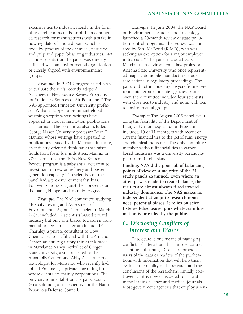extensive ties to industry, mostly in the form of research contracts. Four of them conducted research for manufacturers with a stake in how regulators handle dioxin, which is a toxic by-product of the chemical, pesticide, and pulp and paper bleaching industries. Not a single scientist on the panel was directly affiliated with an environmental organization or closely aligned with environmentalist groups.

*Example:* In 2004 Congress asked NAS to evaluate the EPA's recently adopted "Changes in New Source Review Programs for Stationary Sources of Air Pollutants." The NAS appointed Princeton University professor William Happer, a prominent global warming skeptic whose writings have appeared in Hoover Institution publications, as chairman. The committee also included George Mason University professor Brian F. Mannix, whose writings have appeared in publications issued by the Mercatus Institute, an industry-oriented think tank that raises funds from fossil fuel industries. Mannix in 2001 wrote that the "EPA's New Source Review program is a substantial deterrent to investment in new oil refinery and power generation capacity." No scientists on the panel had a pro-environmentalist bias. Following protests against their presence on the panel, Happer and Mannix resigned.

**Example:** The NAS committee studying "Toxicity Testing and Assessment of Environmental Agents," impaneled in March 2004, included 12 scientists biased toward industry but only one biased toward environmental protection. The group included Gail Charnley, a private consultant to Dow Chemical who is affiliated with the Annapolis Center, an anti-regulatory think tank based in Maryland; Nancy Kerkvliet of Oregon State University, also connected to the Annapolis Center; and Abby A. Li, a former toxicologist for Monsanto who recently had joined Exponent, a private consulting firm whose clients are mainly corporations. The only environmentalist on the panel was Dr. Gina Solomon, a staff scientist for the Natural Resources Defense Council.

*Example:* In June 2004, the NAS' Board on Environmental Studies and Toxicology launched a 20-month review of state pollution control programs. The request was initiated by Sen. Kit Bond (R-MO), who was seeking an exemption for a major employer in his state.<sup>51</sup> The panel included Gary Marchant, an environmental law professor at Arizona State University who once represented major automobile manufacturer trade associations in regulatory proceedings. The panel did not include any lawyers from environmental groups or state agencies. Moreover, the committee included four scientists with close ties to industry and none with ties to environmental groups.

*Example:* The August 2005 panel evaluating the feasibility of the Department of Energy's Carbon Sequestration Program included 10 of 11 members with recent or current financial ties to the petroleum, energy and chemical industries. The only committee member without financial ties to carbonbased industries was a university oceanographer from Rhode Island.

**Finding: NAS did a poor job of balancing points of view on a majority of the 21 study panels examined. Even where an attempt was made to create balance, the results are almost always tilted toward industry dominance. The NAS makes no independent attempt to research nominees' potential biases. It relies on scientists' self-disclosure, plus whatever information is provided by the public.**

### *C. Disclosing Conflicts of Interest and Biases*

Disclosure is one means of managing conflicts of interest and bias in science and scientific publishing. Disclosure provides users of the data or readers of the publications with information that will help them evaluate the quality of the research and the conclusions of the researchers. Initially controversial, it is now considered routine at many leading science and medical journals. Most government agencies that employ scien-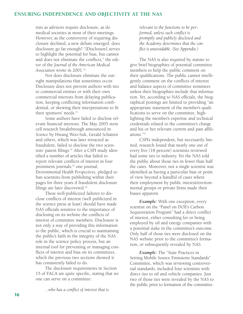tists as advisors require disclosure, as do medical societies at most of their meetings. However, as the controversy of requiring disclosure declined, a new debate emerged: does disclosure go far enough? "[Disclosure] serves to highlight the potential for bias, but cannot and does not eliminate the conflicts," the editor of the *Journal of the American Medical* Association wrote in 2001.<sup>52</sup>

Nor does disclosure eliminate the outright manipulations that sometimes occur. Disclosure does not prevent authors with ties to commercial entities or with their own commercial interests from delaying publication, keeping conflicting information confidential, or skewing their interpretations to fit their sponsors' needs.<sup>53</sup>

Some authors have failed to disclose relevant financial interests. The May 2005 stem cell research breakthrough announced in *Science* by Hwang Woo-Suk, Gerald Schatten and others, which was later retracted as fraudulent, failed to disclose the two scientists' patent filings.<sup>54</sup> After a CSPI study identified a number of articles that failed to report relevant conflicts of interest in four prominent journals,<sup>55</sup> one journal, *Environmental Health Perspectives*, pledged to ban scientists from publishing within their pages for three years if fraudulent disclosure filings are later discovered.<sup>56</sup>

These well-publicized failures to disclose conflicts of interest (well publicized in the science press at least) should have made NAS officials sensitive to the importance of disclosing on its website the conflicts of interest of committee members. Disclosure is not only a way of providing this information to the public, which is crucial to maintaining the public's faith in the integrity of the NAS role in the science policy process, but an internal tool for preventing or managing conflicts of interest and bias on its committees, which the previous two sections showed it has consistently failed to do.

The disclosure requirements in Section 15 of FACA are quite specific, stating that no one can serve on a committee:

*relevant to the functions to be performed, unless such conflict is promptly and publicly disclosed and the Academy determines that the conflict is unavoidable. (See Appendix.)*

The NAS is also required by statute to give brief biographies of potential committee members to help the public comment on their qualifications. The public cannot intelligently comment on the conflicts of interest and balance aspects of committee nominees unless their biographies include that information. Yet, according to NAS officials, the biographical postings are limited to providing "an appropriate statement of the member's qualifications to serve on the committee, highlighting the member's expertise and technical credentials related to the committee's charge and his or her relevant current and past affiliations."57

CSPI's independent, but necessarily limited, research found that nearly one out of every five (18 percent) scientists reviewed had some ties to industry. Yet the NAS told the public about those ties in fewer than half the cases. Moreover, not a single scientist was identified as having a particular bias or point of view beyond a handful of cases where their employment by public interest/environmental groups or private firms made their biases apparent.

*Example:* With one exception, every scientist on the "Panel on DOE's Carbon Sequestration Program" had a direct conflict of interest, either consulting for or being employed by oil and energy companies with a potential stake in the committee's outcome. Only half of those ties were disclosed on the NAS website prior to the committee's formation, or subsequently revealed by NAS.

*Example:* The "State Practices in Setting Mobile Source Emissions Standards" Committee, which was reviewing controversial standards, included four scientists with direct ties to oil and vehicle companies. Just two of those ties were revealed by the NAS to the public prior to formation of the committee.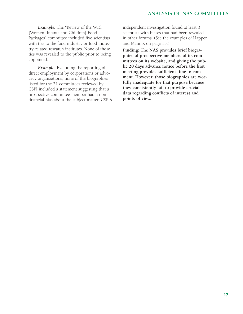*Example:* The "Review of the WIC [Women, Infants and Children] Food Packages" committee included five scientists with ties to the food industry or food industry-related research institutes. None of those ties was revealed to the public prior to being appointed.

*Example:* Excluding the reporting of direct employment by corporations or advocacy organizations, none of the biographies listed for the 21 committees reviewed by CSPI included a statement suggesting that a prospective committee member had a nonfinancial bias about the subject matter. CSPI's independent investigation found at least 3 scientists with biases that had been revealed in other forums. (See the examples of Happer and Mannix on page 15.)

**Finding: The NAS provides brief biographies of prospective members of its committees on its website, and giving the public 20 days advance notice before the first meeting provides sufficient time to comment. However, those biographies are woefully inadequate for that purpose because they consistently fail to provide crucial data regarding conflicts of interest and points of view.**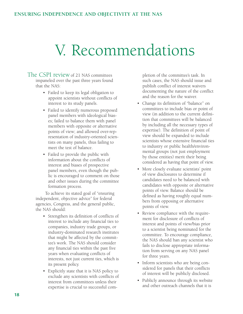# V. Recommendations

- The CSPI review of 21 NAS committees impaneled over the past three years found that the NAS:
	- Failed to keep its legal obligation to appoint scientists without conflicts of interest to its study panels.
	- Failed to identify numerous proposed panel members with ideological biases; failed to balance them with panel members with opposite or alternative points of view; and allowed over-representation of industry-oriented scientists on many panels, thus failing to meet the test of balance.
	- Failed to provide the public with information about the conflicts of interest and biases of prospective panel members, even though the public is encouraged to comment on those and other issues during the committee formation process.

To achieve its stated goal of "ensuring independent, objective advice" for federal agencies, Congress, and the general public, the NAS should:

- Strengthen its definition of conflicts of interest to include any financial ties to companies, industry trade groups, or industry-dominated research institutes that might be affected by the committee's work. The NAS should consider any financial ties within the past five years when evaluating conflicts of interests, not just current ties, which is its present policy.
- Explicitly state that it is NAS policy to exclude any scientists with conflicts of interest from committees unless their expertise is crucial to successful com-

pletion of the committee's task. In such cases, the NAS should issue and publish conflict of interest waivers documenting the nature of the conflict and the reason for the waiver.

- Change its definition of "balance" on committees to include bias or point of view (in addition to the current definition that committees will be balanced by including all the necessary types of expertise). The definition of point of view should be expanded to include scientists whose extensive financial ties to industry or public health/environmental groups (not just employment by those entities) merit their being considered as having that point of view.
- More closely evaluate scientists' point of view disclosures to determine if candidates need to be balanced with candidates with opposite or alternative points of view. Balance should be defined as having roughly equal numbers from opposing or alternative points of view.
- Review compliance with the requirement for disclosure of conflicts of interest and points of view/bias prior to a scientist being nominated for the committee. To encourage compliance, the NAS should ban any scientist who fails to disclose appropriate information from serving on any NAS panel for three years.
- Inform scientists who are being considered for panels that their conflicts of interest will be publicly disclosed.
- Publicly announce through its website and other outreach channels that it is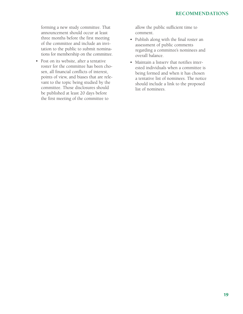forming a new study committee. That announcement should occur at least three months before the first meeting of the committee and include an invitation to the public to submit nominations for membership on the committee.

• Post on its website, after a tentative roster for the committee has been chosen, all financial conflicts of interest, points of view, and biases that are relevant to the topic being studied by the committee. Those disclosures should be published at least 20 days before the first meeting of the committee to

allow the public sufficient time to comment.

- Publish along with the final roster an assessment of public comments regarding a committee's nominees and overall balance.
- Maintain a listserv that notifies interested individuals when a committee is being formed and when it has chosen a tentative list of nominees. The notice should include a link to the proposed list of nominees.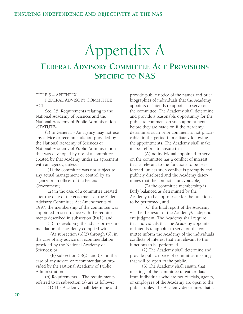# Appendix A **FEDERAL ADVISORY COMMITTEE ACT PROVISIONS SPECIFIC TO NAS**

TITLE 5 – APPENDIX

FEDERAL ADVISORY COMMITTEE ACT

Sec. 15. Requirements relating to the National Academy of Sciences and the National Academy of Public Administration -STATUTE-

(a) In General. - An agency may not use any advice or recommendation provided by the National Academy of Sciences or National Academy of Public Administration that was developed by use of a committee created by that academy under an agreement with an agency, unless -

(1) the committee was not subject to any actual management or control by an agency or an officer of the Federal Government;

(2) in the case of a committee created after the date of the enactment of the Federal Advisory Committee Act Amendments of 1997, the membership of the committee was appointed in accordance with the requirements described in subsection (b)(1); and

(3) in developing the advice or recommendation, the academy complied with -

(A) subsection  $(b)(2)$  through  $(6)$ , in the case of any advice or recommendation provided by the National Academy of Sciences; or

 $(B)$  subsection  $(b)(2)$  and  $(5)$ , in the case of any advice or recommendation provided by the National Academy of Public Administration.

(b) Requirements. - The requirements referred to in subsection (a) are as follows:

(1) The Academy shall determine and

provide public notice of the names and brief biographies of individuals that the Academy appoints or intends to appoint to serve on the committee. The Academy shall determine and provide a reasonable opportunity for the public to comment on such appointments before they are made or, if the Academy determines such prior comment is not practicable, in the period immediately following the appointments. The Academy shall make its best efforts to ensure that

(A) no individual appointed to serve on the committee has a conflict of interest that is relevant to the functions to be performed, unless such conflict is promptly and publicly disclosed and the Academy determines that the conflict is unavoidable,

(B) the committee membership is fairly balanced as determined by the Academy to be appropriate for the functions to be performed, and

(C) the final report of the Academy will be the result of the Academy's independent judgment. The Academy shall require that individuals that the Academy appoints or intends to appoint to serve on the committee inform the Academy of the individual's conflicts of interest that are relevant to the functions to be performed.

(2) The Academy shall determine and provide public notice of committee meetings that will be open to the public.

(3) The Academy shall ensure that meetings of the committee to gather data from individuals who are not officials, agents, or employees of the Academy are open to the public, unless the Academy determines that a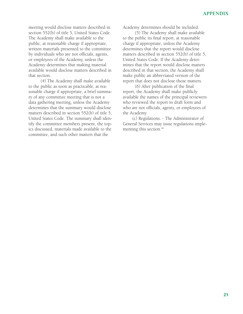meeting would disclose matters described in section 552(b) of title 5, United States Code. The Academy shall make available to the public, at reasonable charge if appropriate, written materials presented to the committee by individuals who are not officials, agents, or employees of the Academy, unless the Academy determines that making material available would disclose matters described in that section.

(4) The Academy shall make available to the public as soon as practicable, at reasonable charge if appropriate, a brief summary of any committee meeting that is not a data gathering meeting, unless the Academy determines that the summary would disclose matters described in section 552(b) of title 5, United States Code. The summary shall identify the committee members present, the topics discussed, materials made available to the committee, and such other matters that the

Academy determines should be included.

(5) The Academy shall make available to the public its final report, at reasonable charge if appropriate, unless the Academy determines that the report would disclose matters described in section 552(b) of title 5, United States Code. If the Academy determines that the report would disclose matters described in that section, the Academy shall make public an abbreviated version of the report that does not disclose those matters.

(6) After publication of the final report, the Academy shall make publicly available the names of the principal reviewers who reviewed the report in draft form and who are not officials, agents, or employees of the Academy.

(c) Regulations. - The Administrator of General Services may issue regulations implementing this section.<sup>58</sup>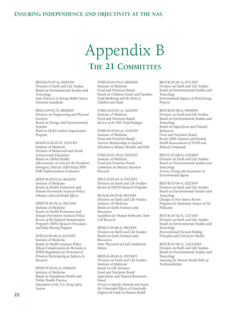# Appendix B **THE 21 COMMITTEES**

BEST-K-03-07-A; 06/01/04 Division of Earth and Life Studies Board on Environmental Studies and Toxicology *State Practices in Setting Mobile Source Emissions Standards*

BEES-J-04-01-D; 08/30/05 Division on Engineering and Physical Sciences Board on Energy and Environmental Systems *Panel on DOE's Carbon Sequestration Program*

BOGH-H-04-01-D; 01/21/05 Institute of Medicine Division of Behavioral and Social Sciences and Education Board on Global Health *Subcommittee on Care for the President's Emergency Plan for AIDS Relief [PEP-FAR] Implementation Evaluation*

HPDP-H-05-03-A; 06/24/05 Institute of Medicine Board on Health Promotion and Disease Prevention Sciences Policy *Asbestos: Selected Health Effects* 

HPDP-H-04-02-A; 06/15/04 Institute of Medicine Board on Health Promotion and Disease Prevention Sciences Policy *Review of the National Immunization Program's (NIP's) Research Procedures and Data Sharing Program*

HSPX-H-04-06-A; 01/24/05 Institute of Medicine Board on Health Sciences Policy *Ethical Considerations for Revisions to DHHS Regulations for Protection of Prisoners Participating as Subjects in Research*

HPDP-H-05-01-A; 04/06/05 Institute of Medicine Board on Population Health and Public Health Practice *Assessment of the U.S. Drug Safety System*

FNBX-H-04-03-A; 08/26/04 Institute of Medicine Food and Nutrition Board Board on Children Youth and Families *Food Marketing and the Diets of Children and Youth* 

FNBX-H-03-01-A; 12/23/03 Institute of Medicine Food and Nutrition Board *Review of the WIC Food Packages*

FNBX-H-04-04-A; 11/01/04 Institute of Medicine Food and Nutrition Board *Nutrient Relationships in Seafood: Selections to Balance Benefits and Risks* 

FNBX-H-01-90-B; 03/23/05 Institute of Medicine Food and Nutrition Board *Committee on Military Nutrition Research*

DELS-O-04-01-A; 03/23/05 Division on Earth and Life Studies *Review of NIOSH Research Programs* 

BLSX-K-04-03-B; 09/14/04 Division on Earth and Life Studies Institute Of Medicine Board on Earth Sciences and Resources *Guidelines for Human Embryonic Stem Cell Research*

BESR-U-04-06-A; 09/14/04 Division on Earth and Life Studies Board on Earth Sciences and Resources *Mine Placement of Coal Combustion Wastes*

BBXX-K-00-02-A; 03/14/03 Division on Earth and Life Studies Institute of Medicine Board on Life Sciences Food and Nutrition Board Agriculture and Natural Resources Board *Process to Identify Hazards and Assess the Unintended Effects of Genetically Engineered Foods on Human Health*

BEST-K-05-01-A; 07/13/05 Division on Earth and Life Studies Board on Environmental Studies and Toxicology *Environmental Impacts of Wind Energy Projects*

BEST-K-03-08-A; 09/09/04 Division on Earth and Life Studies Board on Environmental Studies and Toxicology Board on Agriculture and Natural Resources Food and Nutrition Board *Review EPA's Exposure and Human Health Reassessment of TCDD and Related Compounds*

BEST-U-03-08-A; 03/18/04 Division on Earth and Life Studies Board on Environmental Studies and Toxicology *Toxicity Testing and Assessment of Environmental Agents*

BEST-K-03-04-A; 02/25/04 Division on Earth and Life Studies Board on Environmental Studies and Toxicology *Changes in New Source Review Programs for Stationary Sources of Air Pollutants*

BEST-K-03-02-A; 12/11/03 Division on Earth and Life Studies Board on Environmental Studies and Toxicology *Environmental Decision Making: Principles and Criteria for Models*

BEST-K-03-06-A; 12/21/2004 Division on Earth and Life Studies Board on Environmental Studies and Toxicology *Assessing the Human Health Risks of Trichloroethylene*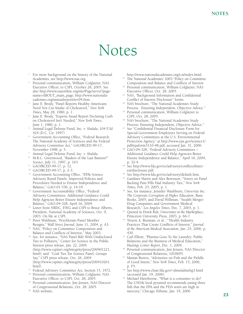# Notes

- For more background on the history of the National Academies, see http://www.nas.org.
- Personal communication, William Colglazier, NAS Executive Officer, to CSPI, October 28, 2005. See also http://www.nasonline.org/site/PageServer?pagename=ABOUT\_main\_page; http://www.nationalacademies.org/annualreport/rev04.htm.
- Jane E. Brody, "Panel Reports Healthy Americans Need Not Cut Intake of Cholesterol," *New York Times,* May 28, 1980, p. 1.
- Jane E. Brody, "Experts Assail Report Declaring Curb on Cholesterol Isn't Needed," *New York Times*, June 1, 1980, p. 1.
- <sup>5</sup> Animal Legal Defense Fund, Inc. v. Shalala, 104 F.3d 424 (D.C. Cir. 1997).
- <sup>6</sup> Government Accounting Office, "Federal Research: The National Academy of Sciences and the Federal Advisory Committee Act," GAO/RCED-99-17, November 1998, p. 5.
- <sup>7</sup> Animal Legal Defense Fund, Inc. v. Shalala.
- M.R.C. Greenwood, "Raiders of the Last Bastion?" *Science*, July 11, 1997, p. 163.
- GAO/RCED-99-17, p. 12.
- <sup>10</sup> GAO/RCED-99-17, p. 2-3.
- <sup>11</sup> Government Accounting Office, "EPA's Science Advisory Board Panels: Improved Policies and Procedures Needed to Ensure Independence and Balance," GAO-01-536, p. 14-19.
- <sup>12</sup> Government Accountability Office, "Federal Advisory Committees: Additional Guidance Could Help Agencies Better Ensure Independence and Balance," GAO-04-328, April 16, 2004.
- <sup>13</sup> Letter from NRDC, EWG and CSPI to Bruce Alberts, President, National Academy of Sciences, Oct. 9, 2003. On file at CSPI.
- <sup>14</sup> Peter Waldman, "Perchlorate-Panel Member Resigns," *Wall Street Journal*, June 11, 2004, p. A3.
- <sup>15</sup> NAS, "Policy on Committee Composition and Balance and Conflicts of Interest," May 2003.
- <sup>16</sup> See, for instance, "NAS Panel Rife With Undisclosed Ties to Polluters," Center for Science in the Public Interest press release, Jan. 22, 2004 (http://www.cspinet.org/integrity/press/200401221. html); and "Coal Ties Tar Science Panel, Groups Say," CSPI press release, Oct. 26, 2004 (http://www.cspinet.org/integrity/press/200410261. html).
- <sup>17</sup> Federal Advisory Committee Act, Section 15, 1972.
- <sup>18</sup> Personal communication, William Colglazier, NAS Executive Officer, to CSPI, Oct. 28, 2005.
- <sup>19</sup> Personal communication, Jim Jensen, NAS Director of Congressional Relations, Oct. 28, 2005.
- <sup>20</sup> NAS website;

http://www.nationalacademies.org/coi/index.html.

- <sup>21</sup> The National Academies' 2003 "Policy on Committee Composition and Balance and Conflicts of Interest
- <sup>22</sup> Personal communication, William Colglazier, NAS Executive Officer, Oct. 28, 2005.
- <sup>23</sup> NAS, "Background Information and Confidential Conflict of Interest Disclosure" forms.
- <sup>24</sup> NAS brochure, "The National Academies Study
- Process: Ensuring Independent, Objective Advice." 25 Personal communication, William Colglazier to CSPI, Oct. 28, 2005.
- <sup>26</sup> NAS brochure, "The National Academies Study Process: Ensuring Independent, Objective Advice."
- <sup>27</sup> See "Confidential Financial Disclosure Form for Special Government Employees Serving on Federal Advisory Committees at the U.S. Environmental Protection Agency," at http://www.epa.gov/science1/ pdf/epaform3110-48.pdf, accessed Jan. 31, 2006.
- <sup>28</sup> GAO-04-328, "Federal Advisory Committees Additional Guidance Could Help Agencies Better Ensure Independence and Balance," April 16, 2004, p. 32-4.
- <sup>29</sup> See http://www.fda.gov/oc/advisory/conflictofinterest/disclosure.pdf.
- <sup>30</sup> See http://www.fda.gov/oc/advisory/default.htm.<br><sup>31</sup> Gardiner Harris and Alex Berenson. "Voters on B
- Gardiner Harris and Alex Berenson, "Voters on Panel Backing Pain Pills Had Industry Ties," *New York Times,* Feb. 25, 2005, p. 1.
- <sup>32</sup> See, for instance, Jennifer Washburn, *University Inc.: The Corporate Corruption of Higher Education*, Basic Books, 2005; and David Willman, "Stealth Merger: Drug Companies and Government Medical Research," *Los Angeles Times*, Dec. 7, 2003, p. 1.
- <sup>33</sup> Quoted in Derek Bok, *Universities in the Marketplace*, Princeton University Press, 2003, p. 66-7.
- Troyen A. Brennan, et al., ""Health Industry Practices That Create Conflicts of Interest," *Journal of the American Medical Association*, Jan. 25, 2006, p. 430.
- <sup>35</sup> Carl Elliott, "Pharma Goes To the Laundry: Public Relations and the Business of Medical Education," *Hastings Center Report*, Dec. 1, 2004.
- <sup>36</sup> Personal communication, Jim Jensen, NAS Director of Congressional Relations, 10/28/05.
- Marian Burros, "Advisories on Fish and the Pitfalls of Good Intent," *New York Times*, Feb. 15, 2006, p. F5.
- See http://www.cfsan.fda.gov/~dms/admehg3.html (accessed Jan. 19, 2006).
- Michael Hawthorne, "What is a consumer to do? The USDA's food pyramid recommends eating three fish that the EPA and the FDA warn are high in mercury," Chicago Tribune, Jan. 19, 2006.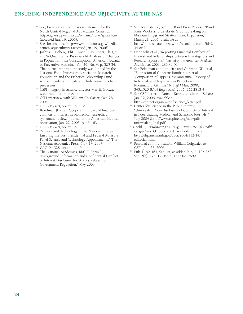- <sup>40</sup> See, for instance, the mission statement for the North Central Regional Aquaculture Center at http://ag.ansc.purdue.edu/aquanic/ncrac/splan.htm (accessed Jan. 19, 2006).
- <sup>41</sup> See, for instance, http://www.nmfs.noaa.gov/mediacenter/ aquaculture/ (accessed Jan. 19, 2006).
- <sup>42</sup> Joshua T. Cohen, PhD, David C. Bellinger, PhD, et al., "A Quantitative Risk-Benefit Analysis of Changes in Population Fish Consumption," American Journal of Preventive Medicine, Vol. 29, No. 4, p. 325-34. The journal reported the study was funded by the National Food Processors Association Research Foundation and the Fisheries Scholarship Fund, whose membership rosters include numerous fish
- <sup>43</sup> CSPI Integrity in Science director Merrill Goozner was present at the meeting.
- <sup>44</sup> CSPI interview with William Colglazier, Oct. 28, 2005.
- <sup>45</sup> GAO-04-328, op. cit., p. 43-4.
- <sup>46</sup> Bekelman JE et al, "Scope and impact of financial conflicts of interest in biomedical research: a systematic review," Journal of the American Medical Association, Jan. 22, 2003, p. 454-63.
- <sup>47</sup> GAO-04-328, op. cit., p. 33.
- <sup>48</sup> "Science and Technology in the National Interest: Ensuring the Best Presidential and Federal Advisory Panel Science and Technology Appointments," The
- <sup>49</sup> GAO-04-328, op cit., p. 40.
- <sup>50</sup> The National Academies, BI/COI Form 1, "Background Information and Confidential Conflict of Interest Disclosure for Studies Related to Government Regulation," May 2003.
- <sup>51</sup> See, for instance, Sen. Kit Bond Press Release, "Bond Joins Workers to Celebrate Groundbreaking on Missouri Briggs and Stratton Plant Expansion," March 21, 2005 (available at http://bond.senate.gov/atwork/recordtopic.cfm?id=2
- <sup>52</sup> DeAngelis et al., "Reporting Financial Conflicts of Interest and Relationships between Investigators and Research Sponsors," *Journal of the American Medical*
- <sup>53</sup> See Bekelman et al, op. cit.; and Curfman GD, et al, "Expression of Concern: Bombardier, et al., 'Comparison of Upper Gastrointestinal Toxicity of Rofecoxib and Naproxen in Patients with Rheumatoid Arthritis,' *N Engl J Med*, 2000; 343:1520-8," *N Engl J Med*, 2005; 353:2813-4.
- <sup>54</sup> See CSPI letter to Donald Kennedy, editor of *Science,* Jan. 12, 2006, available at:<br>http://cspinet.org/new/pdf/science\_letter.pdf.
- <sup>55</sup> Center for Science in the Public Interest, "Unrevealed: Non-Disclosure of Conflicts of Interest in Four Leading Medical and Scientific Journals," July 2004 (http://www.cspinet.org/new/pdf/
- <sup>56</sup> Goehl TJ, "Embracing Scutiny," *Environmental Health Perspectives*, October 2004, available online at: http://ehp.niehs.nih.gov/docs/2004/112-14/
- <sup>57</sup> Personal communication, William Colglazier to CSPI, Jan. 27, 2006.
- <sup>58</sup> Pub. L. 92-463, Sec. 15, as added Pub. L. 105-153, Sec. 2(b), Dec. 17, 1997, 111 Stat. 2689.